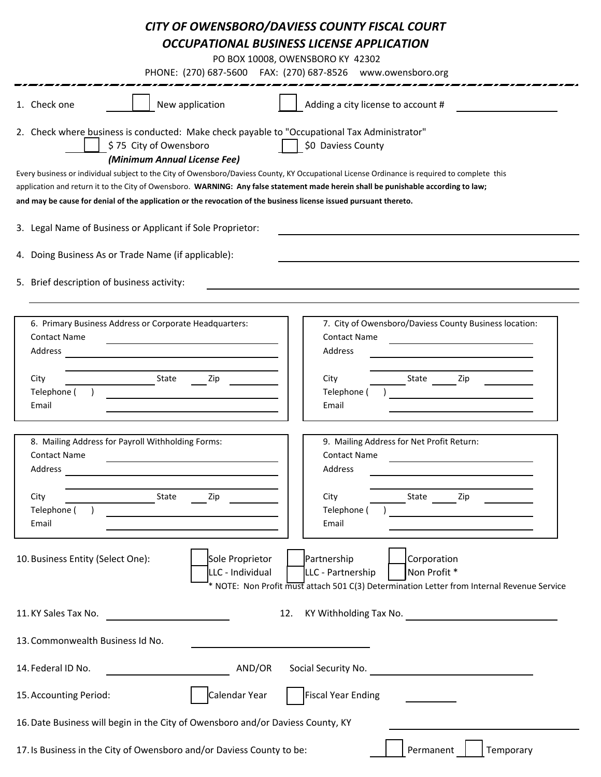## *CITY OF OWENSBORO/DAVIESS COUNTY FISCAL COURT OCCUPATIONAL BUSINESS LICENSE APPLICATION*

PO BOX 10008, OWENSBORO KY 42302

PHONE: (270) 687-5600 FAX: (270) 687-8526 www.owensboro.org

|                                                                                                                                                                                                                                                                                                                                                                                                         | Adding a city license to account #<br>New application<br>1. Check one                                                                                                                                                                                                                                                                       |  |  |  |  |  |  |
|---------------------------------------------------------------------------------------------------------------------------------------------------------------------------------------------------------------------------------------------------------------------------------------------------------------------------------------------------------------------------------------------------------|---------------------------------------------------------------------------------------------------------------------------------------------------------------------------------------------------------------------------------------------------------------------------------------------------------------------------------------------|--|--|--|--|--|--|
|                                                                                                                                                                                                                                                                                                                                                                                                         | 2. Check where business is conducted: Make check payable to "Occupational Tax Administrator"<br>\$75 City of Owensboro<br>\$0 Daviess County<br>(Minimum Annual License Fee)                                                                                                                                                                |  |  |  |  |  |  |
| Every business or individual subject to the City of Owensboro/Daviess County, KY Occupational License Ordinance is required to complete this<br>application and return it to the City of Owensboro. WARNING: Any false statement made herein shall be punishable according to law;<br>and may be cause for denial of the application or the revocation of the business license issued pursuant thereto. |                                                                                                                                                                                                                                                                                                                                             |  |  |  |  |  |  |
|                                                                                                                                                                                                                                                                                                                                                                                                         |                                                                                                                                                                                                                                                                                                                                             |  |  |  |  |  |  |
|                                                                                                                                                                                                                                                                                                                                                                                                         | 3. Legal Name of Business or Applicant if Sole Proprietor:                                                                                                                                                                                                                                                                                  |  |  |  |  |  |  |
|                                                                                                                                                                                                                                                                                                                                                                                                         | 4. Doing Business As or Trade Name (if applicable):                                                                                                                                                                                                                                                                                         |  |  |  |  |  |  |
|                                                                                                                                                                                                                                                                                                                                                                                                         | 5. Brief description of business activity:                                                                                                                                                                                                                                                                                                  |  |  |  |  |  |  |
|                                                                                                                                                                                                                                                                                                                                                                                                         | 6. Primary Business Address or Corporate Headquarters:<br>7. City of Owensboro/Daviess County Business location:<br><b>Contact Name</b><br><b>Contact Name</b><br>Address<br>Address<br><u> 1989 - Johann Barbara, martxa alemaniar arg</u><br>City<br>State<br>Zip<br>City<br>State<br>Zip<br>Telephone (<br>Telephone (<br>Email<br>Email |  |  |  |  |  |  |
|                                                                                                                                                                                                                                                                                                                                                                                                         | 8. Mailing Address for Payroll Withholding Forms:<br>9. Mailing Address for Net Profit Return:<br><b>Contact Name</b><br><b>Contact Name</b><br>Address<br>Address<br>City<br>State<br>Zip<br>City<br>State<br>Zip<br>Telephone (<br>Telephone (<br>Email<br>Email                                                                          |  |  |  |  |  |  |
|                                                                                                                                                                                                                                                                                                                                                                                                         | Sole Proprietor<br>Partnership<br>Corporation<br>10. Business Entity (Select One):<br>Non Profit *<br>LLC - Individual<br>LLC - Partnership<br>* NOTE: Non Profit must attach 501 C(3) Determination Letter from Internal Revenue Service                                                                                                   |  |  |  |  |  |  |
|                                                                                                                                                                                                                                                                                                                                                                                                         | KY Withholding Tax No.<br>11. KY Sales Tax No.<br>12.                                                                                                                                                                                                                                                                                       |  |  |  |  |  |  |
| 13. Commonwealth Business Id No.                                                                                                                                                                                                                                                                                                                                                                        |                                                                                                                                                                                                                                                                                                                                             |  |  |  |  |  |  |
| 14. Federal ID No.<br>AND/OR<br>Social Security No.                                                                                                                                                                                                                                                                                                                                                     |                                                                                                                                                                                                                                                                                                                                             |  |  |  |  |  |  |
|                                                                                                                                                                                                                                                                                                                                                                                                         | Calendar Year<br><b>Fiscal Year Ending</b><br>15. Accounting Period:                                                                                                                                                                                                                                                                        |  |  |  |  |  |  |
| 16. Date Business will begin in the City of Owensboro and/or Daviess County, KY                                                                                                                                                                                                                                                                                                                         |                                                                                                                                                                                                                                                                                                                                             |  |  |  |  |  |  |
|                                                                                                                                                                                                                                                                                                                                                                                                         | 17. Is Business in the City of Owensboro and/or Daviess County to be:<br>Permanent<br>Temporary                                                                                                                                                                                                                                             |  |  |  |  |  |  |